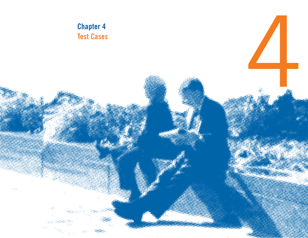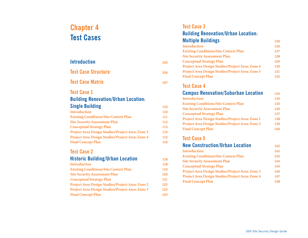# **Chapter 4 Test Cases**

| <b>Introduction</b>        | 105 |
|----------------------------|-----|
| <b>Test Case Structure</b> | 106 |
| <b>Test Case Matrix</b>    | 107 |

# **Test Case 1**

# **Building Renovation/Urban Location: Single Building**

| Introduction                                     |
|--------------------------------------------------|
| <b>Existing Conditions/Site Context Plan</b>     |
| <b>Site Security Assessment Plan</b>             |
| <b>Conceptual Strategy Plan</b>                  |
| Project Area Design Studies/Project Area: Zone 3 |
| Project Area Design Studies/Project Area: Zone 4 |
| <b>Final Concept Plan</b>                        |

# **Test Case 2**

#### **Historic Building/Urban Location Introduction Existing Conditions/Site Context Plan Site Security Assessment Plan Conceptual Strategy Plan Project Area Design Studies/Project Area: Zone 2 Project Area Design Studies/Project Area: Zone 3 Final Concept Plan**

# **Test Case 3 Building Renovation/Urban Location: Multiple Buildings <sup>126</sup> Introduction 126 Existing Conditions/Site Context Plan 127 Site Security Assessment Plan 128 Conceptual Strategy Plan 129 Project Area Design Studies/Project Area: Zone 4 130 Project Area Design Studies/Project Area: Zone 5 131 Final Concept Plan 132 Test Case 4 Campus Renovation/Suburban Location <sup>134</sup> Introduction 134 Existing Conditions/Site Context Plan 135 Site Security Assessment Plan 136 Conceptual Strategy Plan 137 Project Area Design Studies/Project Area: Zone 1 138 Project Area Design Studies/Project Area: Zone 5 139 Final Concept Plan 140 Test Case 5 New Construction/Urban Location <sup>142</sup> Introduction 142 Existing Conditions/Site Context Plan 143 Site Security Assessment Plan 144 Conceptual Strategy Plan 145**

**Project Area Design Studies/Project Area: Zone 3 146 Project Area Design Studies/Project Area: Zone 4 147 Final Concept Plan 148**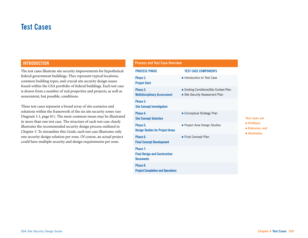# **Test Cases**

## **INTRODUCTION**

The test cases illustrate site security improvements for hypothetical federal government buildings. They represent typical locations, common building types, and crucial site security design issues found within the GSA portfolio of federal buildings. Each test case is drawn from a number of real properties and projects, as well as nonexistent, but possible, conditions.

These test cases represent a broad array of site scenarios and solutions within the framework of the six site security zones (see Diagram 3.1, page 81). The most common issues may be illustrated in more than one test case. The structure of each test case clearly illustrates the recommended security design process outlined in Chapter 3. To streamline this *Guide*, each test case illustrates only one security design solution per zone. Of course, an actual project could have multiple security and design requirements per zone.

#### **Process and Test Case Overview**

| <b>PROCESS PHASE</b>                                                 | <b>TEST CASE COMPONENTS</b>                                              |
|----------------------------------------------------------------------|--------------------------------------------------------------------------|
| Phase 1:<br><b>Project Start</b>                                     | Introduction to Test Case                                                |
| Phase 2:<br><b>Multidisciplinary Assessment</b>                      | ■ Existing Conditions/Site Context Plan<br>Site Security Assessment Plan |
| Phase 3:<br><b>Site Concept Investigation</b>                        |                                                                          |
| Phase 4:<br><b>Site Concept Selection</b>                            | Conceptual Strategy Plan                                                 |
| Phase 5:<br><b>Design Studies for Project Areas</b>                  | • Project Area Design Studies                                            |
| Phase 6:<br><b>Final Concept Development</b>                         | Final Concept Plan                                                       |
| Phase 7:<br><b>Final Design and Construction</b><br><b>Documents</b> |                                                                          |
| Phase 8:<br><b>Project Completion and Operations</b>                 |                                                                          |

- 
- *Illustrative*.

GSA Site Security Design Guide **Chapter 4 Test Cases 105 Chapter 4 Test Cases 105**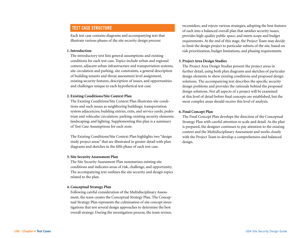### **TEST CASE STRUCTURE**

Each test case contains diagrams and accompanying text that illustrate various phases of the site security design process:

#### **1. Introduction**

The introductory text lists general assumptions and existing conditions for each test case. Topics include urban and regional context, adjacent urban infrastructure and transportation systems, site circulation and parking, site constraints, a general description of building tenants and threat assessment level assignment, existing security features, description of issues, and opportunities and challenges unique to each hypothetical test case.

#### **2. Existing Conditions/Site Context Plan**

The Existing Conditions/Site Context Plan illustrates site conditions and such issues as neighboring buildings; transportation system adjacencies; building entries, exits, and service yards; pedestrian and vehicular circulation; parking; existing security elements; landscaping; and lighting. Supplementing this plan is a summary of Test Case Assumptions for each zone.

The Existing Conditions/Site Context Plan highlights two "design study project areas" that are illustrated in greater detail with plan diagrams and sketches in the fifth phase of each test case.

#### **3. Site Security Assessment Plan**

The Site Security Assessment Plan summarizes existing site conditions and indicates areas of risk, challenge, and opportunity. The accompanying text outlines the site security and design topics related to the plan.

#### **4. Conceptual Strategy Plan**

Following careful consideration of the Multidisciplinary Assessment, the team creates the Conceptual Strategy Plan. The Conceptual Strategy Plan represents the culmination of site concept investigations that test several design approaches to determine the best overall strategy. During the investigation process, the team revises,

reconsiders, and rejects various strategies, adopting the best features of each into a balanced overall plan that satisfies security issues, provides high-quality public space, and meets scope and budget requirements. At the end of this stage, the Project Team may decide to limit the design project to particular subsets of the site, based on risk prioritization, budget limitations, and phasing requirements.

#### **5. Project Area Design Studies**

The Project Area Design Studies present the project areas in further detail, using both plan diagrams and sketches of particular design elements to show existing conditions and proposed design solutions. The accompanying text describes the specific security design problems and provides the rationale behind the proposed design solutions. Not all aspects of a project will be examined at this level of detail before final concepts are established, but the most complex areas should receive this level of analysis.

#### **6. Final Concept Plan**

The Final Concept Plan develops the direction of the Conceptual Strategy Plan with careful attention to scale and detail. As the plan is prepared, the designer continues to pay attention to the existing context and the Multidisciplinary Assessment and works closely with the Project Team to develop a comprehensive and balanced design.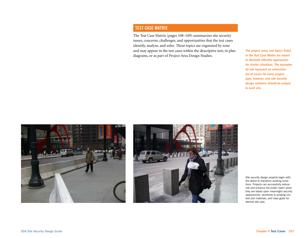## **TEST CASE MATRIX**

The Test Case Matrix (pages 108–109) summarizes site security issues, concerns, challenges, and opportunities that the test cases identify, analyze, and solve. These topics are organized by zone and may appear in the test cases within the descriptive text, in plan diagrams, or as part of Project Area Design Studies.

*The project areas and topics listed in the Test Case Matrix are meant to illustrate effective approaches for similar situations. The examples do not represent an exhaustive list of issues for every project type, however, and site security design solutions should be unique to each site.* 



Site security design projects begin with the desire to transform existing conditions. Projects can successfully reduce risk and enhance the public realm when they are based upon meaningful security assessments, sensitivity to existing context and materials, and clear goals for desired site uses.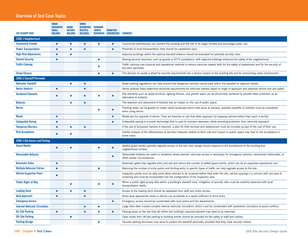# **Overview of Test Case Topics**

|                                       | <b>URBAN</b><br><b>RENOVATION:</b> | <b>URBAN</b>                       | <b>URBAN</b><br><b>RENOVATION:</b>  | <b>SUBURBAN</b>                    |                                         |                                                                                                                                                                                                                                    |
|---------------------------------------|------------------------------------|------------------------------------|-------------------------------------|------------------------------------|-----------------------------------------|------------------------------------------------------------------------------------------------------------------------------------------------------------------------------------------------------------------------------------|
| <b>SITE SECURITY TOPIC</b>            | <b>SINGLE</b><br><b>BUILDING</b>   | <b>HISTORIC</b><br><b>BUILDING</b> | <b>MULTIPLE</b><br><b>BUILDINGS</b> | <b>CAMPUS</b><br><b>RENOVATION</b> | <b>URBAN NEW</b><br><b>CONSTRUCTION</b> | <b>COMMENTS</b>                                                                                                                                                                                                                    |
| <b>ZONE 1 Neighborhood</b>            |                                    |                                    |                                     |                                    |                                         |                                                                                                                                                                                                                                    |
| <b>Community Context</b>              | ш                                  | $\overline{\phantom{a}}$           | $\blacksquare$                      | $\overline{\phantom{a}}$           | ٠                                       | Community partnerships can connect the building and the site to its larger context and encourage public use.                                                                                                                       |
| <b>Public Transportation</b>          | ш                                  | п                                  | ٠                                   |                                    | $\blacksquare$                          | Proximity to local transportation lines should be capitalized upon.                                                                                                                                                                |
| <b>High-Risk Adjacencies</b>          | ш                                  | п                                  |                                     |                                    |                                         | Adjacent buildings within the optimal standoff distance should be evaluated for potential security risks.                                                                                                                          |
| <b>Shared Security</b>                | ٠                                  |                                    |                                     | $\overline{\phantom{a}}$           |                                         | Sharing security resources, such as guards or CCTV surveillance, with adjacent buildings enhances the safety of the neighborhood.                                                                                                  |
| <b>Traffic Calming</b>                |                                    |                                    |                                     | п                                  |                                         | Traffic calming uses physical and operational methods to reduce vehicular speeds both for the safety of pedestrians and for the security of<br>the site's perimeter.                                                               |
| <b>Street Closure</b>                 |                                    |                                    |                                     | п                                  | ٠                                       | The decision to vacate a street for security requirements has a serious impact on the building site and its surrounding urban environment.                                                                                         |
| <b>ZONE 2 Standoff Perimeter</b>      |                                    |                                    |                                     |                                    |                                         |                                                                                                                                                                                                                                    |
| <b>Vehicular Standoff</b>             |                                    | $\overline{\phantom{a}}$           | п                                   |                                    |                                         | Street parking regulations can help ensure that dangerous vehicles cannot park within the standoff on adjacent streets.                                                                                                            |
| <b>Vector Analysis</b>                | ш                                  |                                    | п                                   |                                    |                                         | Vector analysis helps determine structural requirements for vehicular barriers based on angle of approach and potential vehicle size and speed.                                                                                    |
| <b>Hardened Elements</b>              |                                    |                                    |                                     |                                    | п                                       | Site elements such as street furniture, lighting fixtures, and planter walls can be structurally hardened to provide rated protection as an<br>alternative to bollards.                                                            |
| <b>Bollards</b>                       |                                    | п                                  | п                                   |                                    |                                         | The selection and placement of bollards has an impact on the use of public space.                                                                                                                                                  |
| <b>Berms</b>                          |                                    |                                    |                                     | п                                  | ×                                       | Planting areas can be graded to create raised landscape berms that serve as barriers; possible tradeoffs of visibility must be considered<br>when using berms.                                                                     |
| <b>Moats</b>                          | ш                                  |                                    |                                     |                                    | $\blacksquare$                          | Moats are the opposite of berms. They are trenches or pits that deter approach by trapping vehicles before they reach a facility.                                                                                                  |
| <b>Collapsible Paving</b>             | ш                                  |                                    |                                     |                                    | ٠                                       | Collapsible paving is a recent technology that is used to maintain openness, while providing protection from vehicular approach.                                                                                                   |
| <b>Temporary Barriers</b>             | ٠                                  | п                                  | п                                   |                                    |                                         | If the use of temporary barriers is required, a plan for their removal and replacement must be included as part of the cost of their use.                                                                                          |
| <b>Risk Acceptance</b>                | ٠                                  | п                                  |                                     |                                    |                                         | Careful analysis of the effectiveness of security measures relative to their cost and impact on public space may lead to risk acceptance in<br>some cases.                                                                         |
| <b>ZONE 3 Site Access and Parking</b> |                                    |                                    |                                     |                                    |                                         |                                                                                                                                                                                                                                    |
| <b>Guard Booths</b>                   | п                                  |                                    |                                     |                                    | ш                                       | Staffed guard booths typically regulate access to the site; their design should respond to the architecture of the building and<br>neighborhood context.                                                                           |
| <b>Retractable Bollards</b>           |                                    |                                    |                                     |                                    | п                                       | Retractable bollards are useful in situations where periodic vehicular access is necessary, for emergency vehicles, ceremonial motorcades, or<br>other similar circumstances.                                                      |
| <b>Automatic Gates</b>                | ٠                                  |                                    |                                     |                                    |                                         | Automatic gates help regulate entry and exit and reduce the number of staffed guard points, which can be an expensive operational cost.                                                                                            |
| <b>Multiple Vehicular Entries</b>     | п                                  |                                    |                                     | ×                                  |                                         | Reducing the number of entry points and limiting entry to specific types of traffic can help regulate access to the site.                                                                                                          |
| <b>Vehicle Inspection Point</b>       | п                                  |                                    |                                     |                                    |                                         | Inspection points such as sally ports allow vehicles to be screened before they enter the site; vehicle queuing is a concern with any type of<br>screening and must be incorporated into the configuration of the inspection area. |
| <b>Public Right-of-Way</b>            |                                    | п                                  |                                     | п                                  | п                                       | When a public right-of-way falls within a building's standoff zone, mitigation of security risks must be carefully balanced with local<br>transportation needs.                                                                    |
| <b>Loading Dock</b>                   | п                                  | п                                  | п                                   |                                    |                                         | Access to the loading dock should be separated from staff and visitor access.                                                                                                                                                      |
| <b>Axial Approach</b>                 | п                                  |                                    | п                                   |                                    |                                         | Avoid axial approaches where a vehicle can accelerate to a speed sufficient to force entry.                                                                                                                                        |
| <b>Emergency Access</b>               |                                    |                                    |                                     |                                    | $\blacksquare$                          | Emergency access should be coordinated with local police and fire departments.                                                                                                                                                     |
| <b>Internal Vehicular Circulation</b> |                                    |                                    | п                                   | п                                  |                                         | Large sites often involve complex internal vehicular circulation, which must be coordinated with pedestrian circulation to avoid conflicts.                                                                                        |
| <b>On-Site Parking</b>                | п                                  |                                    | п                                   | п                                  | ٠                                       | Parking areas on the site that fall within the building's required standoff may need to be restricted.                                                                                                                             |
| <b>Off-Site Parking</b>               |                                    | ×                                  |                                     |                                    |                                         | Clear routes from off-site parking to building entries should be provided for the safety of staff and visitors.                                                                                                                    |
| <b>Parking Garage</b>                 |                                    |                                    |                                     | $\blacksquare$                     |                                         | Secured parking structures may serve to protect the standoff perimeter, provided that they meet security criteria.                                                                                                                 |